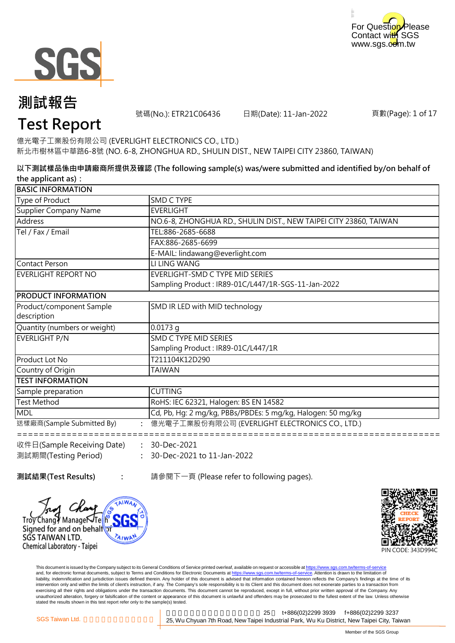



## **測試報告**

號碼(No.): ETR21C06436 日期(Date): 11-Jan-2022

頁數(Page): 1 of 17

## **Test Report**

億光電子工業股份有限公司 (EVERLIGHT ELECTRONICS CO., LTD.) 新北市樹林區中華路6-8號 (NO. 6-8, ZHONGHUA RD., SHULIN DIST., NEW TAIPEI CITY 23860, TAIWAN)

**以下測試樣品係由申請廠商所提供及確認 (The following sample(s) was/were submitted and identified by/on behalf of the applicant as):**

| <b>BASIC INFORMATION</b>     |                                                                   |
|------------------------------|-------------------------------------------------------------------|
| Type of Product              | SMD C TYPE                                                        |
| Supplier Company Name        | <b>EVERLIGHT</b>                                                  |
| Address                      | NO.6-8, ZHONGHUA RD., SHULIN DIST., NEW TAIPEI CITY 23860, TAIWAN |
| Tel / Fax / Email            | TEL:886-2685-6688                                                 |
|                              | FAX:886-2685-6699                                                 |
|                              | E-MAIL: lindawang@everlight.com                                   |
| Contact Person               | LI LING WANG                                                      |
| <b>EVERLIGHT REPORT NO</b>   | EVERLIGHT-SMD C TYPE MID SERIES                                   |
|                              | Sampling Product: IR89-01C/L447/1R-SGS-11-Jan-2022                |
| <b>PRODUCT INFORMATION</b>   |                                                                   |
| Product/component Sample     | SMD IR LED with MID technology                                    |
| description                  |                                                                   |
| Quantity (numbers or weight) | $0.0173$ g                                                        |
| EVERLIGHT P/N                | SMD C TYPE MID SERIES                                             |
|                              | Sampling Product: IR89-01C/L447/1R                                |
| Product Lot No               | T211104K12D290                                                    |
| Country of Origin            | TAIWAN                                                            |
| <b>TEST INFORMATION</b>      |                                                                   |
| Sample preparation           | <b>CUTTING</b>                                                    |
| <b>Test Method</b>           | RoHS: IEC 62321, Halogen: BS EN 14582                             |
| <b>MDL</b>                   | Cd, Pb, Hg: 2 mg/kg, PBBs/PBDEs: 5 mg/kg, Halogen: 50 mg/kg       |
| 送樣廠商(Sample Submitted By)    | : 億光電子工業股份有限公司 (EVERLIGHT ELECTRONICS CO., LTD.)                  |
| 收件日(Sample Receiving Date)   | $: 30 - Dec-2021$                                                 |

**:** 30-Dec-2021 to 11-Jan-2022 測試期間(Testing Period)

**測試結果(Test Results) :** 請參閱下一頁 (Please refer to following pages).





This document is issued by the Company subject to its General Conditions of Service printed overleaf, available on request or accessible at <u>https://www.sgs.com.tw/terms-of-service</u><br>and, for electronic format documents, su liability, indemnification and jurisdiction issues defined therein. Any holder of this document is advised that information contained hereon reflects the Company's findings at the time of its intervention only and within the limits of client's instruction, if any. The Company's sole responsibility is to its Client and this document does not exonerate parties to a transaction from exercising all their rights and obligations under the transaction documents. This document cannot be reproduced, except in full, without prior written approval of the Company. Any<br>unauthorized alteration, forgery or falsif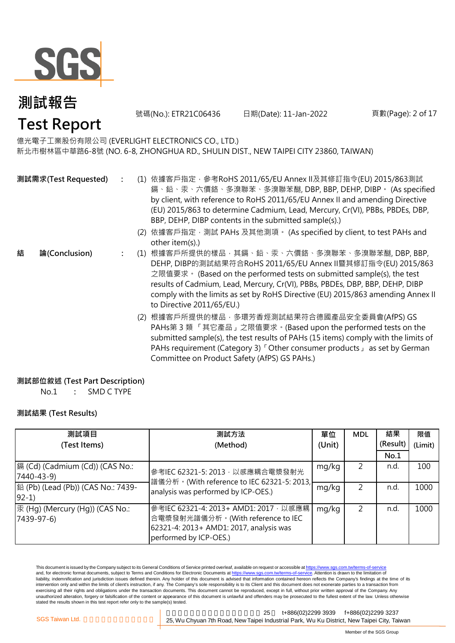

號碼(No.): ETR21C06436 日期(Date): 11-Jan-2022 頁數(Page): 2 of 17

### 億光電子工業股份有限公司 (EVERLIGHT ELECTRONICS CO., LTD.)

新北市樹林區中華路6-8號 (NO. 6-8, ZHONGHUA RD., SHULIN DIST., NEW TAIPEI CITY 23860, TAIWAN)

- **:** (1) 依據客戶指定,參考RoHS 2011/65/EU Annex II及其修訂指令(EU) 2015/863測試 **測試需求(Test Requested)** 鎘、鉛、汞、六價鉻、多溴聯苯、多溴聯苯醚, DBP, BBP, DEHP, DIBP。 (As specified by client, with reference to RoHS 2011/65/EU Annex II and amending Directive (EU) 2015/863 to determine Cadmium, Lead, Mercury, Cr(VI), PBBs, PBDEs, DBP, BBP, DEHP, DIBP contents in the submitted sample(s).)
	- (2) 依據客戶指定,測試 PAHs 及其他測項。 (As specified by client, to test PAHs and other item(s).)
	- **:** (1) 根據客戶所提供的樣品,其鎘、鉛、汞、六價鉻、多溴聯苯、多溴聯苯醚, DBP, BBP, DEHP, DIBP的測試結果符合RoHS 2011/65/EU Annex II暨其修訂指令(EU) 2015/863 之限值要求。 (Based on the performed tests on submitted sample(s), the test results of Cadmium, Lead, Mercury, Cr(VI), PBBs, PBDEs, DBP, BBP, DEHP, DIBP comply with the limits as set by RoHS Directive (EU) 2015/863 amending Annex II to Directive 2011/65/EU.)
		- (2) 根據客戶所提供的樣品,多環芳香烴測試結果符合德國產品安全委員會(AfPS) GS PAHs第 3 類 「其它產品」之限值要求。(Based upon the performed tests on the submitted sample(s), the test results of PAHs (15 items) comply with the limits of PAHs requirement (Category 3) 「Other consumer products」 as set by German Committee on Product Safety (AfPS) GS PAHs.)

### **測試部位敘述 (Test Part Description)**

No.1 **:** SMD C TYPE

### **測試結果 (Test Results)**

**結 論(Conclusion)**

| 測試項目                                                 | 測試方法                                                                                                                                            |       | <b>MDL</b> | 結果       | 限值      |
|------------------------------------------------------|-------------------------------------------------------------------------------------------------------------------------------------------------|-------|------------|----------|---------|
| (Test Items)                                         | (Method)                                                                                                                                        |       |            | (Result) | (Limit) |
|                                                      |                                                                                                                                                 |       |            | No.1     |         |
| 鎘 (Cd) (Cadmium (Cd)) (CAS No.:<br>$[7440 - 43 - 9]$ | mg/kg<br>參考IEC 62321-5: 2013, 以感應耦合電漿發射光<br>譜儀分析。(With reference to IEC 62321-5: 2013,<br>mg/kg<br>analysis was performed by ICP-OES.)          |       |            | n.d.     | 100     |
| 鉛 (Pb) (Lead (Pb)) (CAS No.: 7439-<br>$ 92-1\rangle$ |                                                                                                                                                 |       |            | n.d.     | 1000    |
| 汞 (Hg) (Mercury (Hg)) (CAS No.:<br>$[7439-97-6]$     | 参考IEC 62321-4: 2013+ AMD1: 2017, 以感應耦<br>合電漿發射光譜儀分析。(With reference to IEC<br>62321-4: 2013+ AMD1: 2017, analysis was<br>performed by ICP-OES.) | mg/kg |            | n.d      | 1000    |

This document is issued by the Company subject to its General Conditions of Service printed overleaf, available on request or accessible at https://www.sgs.com.tw/terms-of-service and, for electronic format documents, subject to Terms and Conditions for Electronic Documents at https://www.sgs.com.tw/terms-of-service. Attention is drawn to the limitation of liability, indemnification and jurisdiction issues defined therein. Any holder of this document is advised that information contained hereon reflects the Company's findings at the time of its intervention only and within the limits of client's instruction, if any. The Company's sole responsibility is to its Client and this document does not exonerate parties to a transaction from exercising all their rights and obligations under the transaction documents. This document cannot be reproduced, except in full, without prior written approval of the Company. Any unauthorized alteration, forgery or falsification of the content or appearance of this document is unlawful and offenders may be prosecuted to the fullest extent of the law. Unless otherwise stated the results shown in this test report refer only to the sample(s) tested.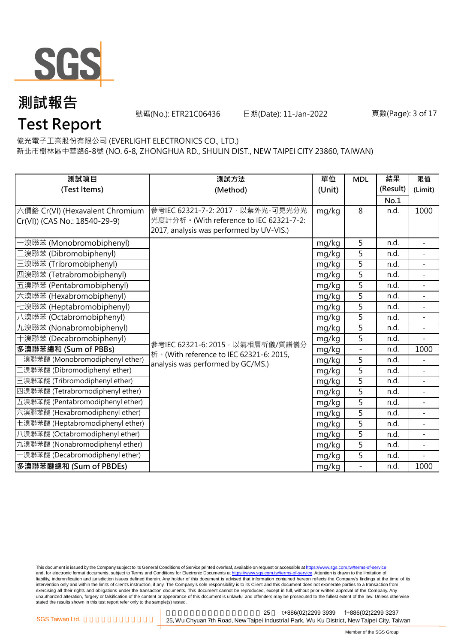

號碼(No.): ETR21C06436 日期(Date): 11-Jan-2022 頁數(Page): 3 of 17

億光電子工業股份有限公司 (EVERLIGHT ELECTRONICS CO., LTD.)

新北市樹林區中華路6-8號 (NO. 6-8, ZHONGHUA RD., SHULIN DIST., NEW TAIPEI CITY 23860, TAIWAN)

| 測試項目                             | 測試方法                                      | 單位     | <b>MDL</b>     | 結果       | 限值                       |
|----------------------------------|-------------------------------------------|--------|----------------|----------|--------------------------|
| (Test Items)                     | (Method)                                  | (Unit) |                | (Result) | (Limit)                  |
|                                  |                                           |        |                | No.1     |                          |
| 六價鉻 Cr(VI) (Hexavalent Chromium  | 參考IEC 62321-7-2: 2017, 以紫外光-可見光分光         | mg/kg  | 8              | n.d.     | 1000                     |
| Cr(VI)) (CAS No.: 18540-29-9)    | 光度計分析。(With reference to IEC 62321-7-2:   |        |                |          |                          |
|                                  | 2017, analysis was performed by UV-VIS.)  |        |                |          |                          |
| ·溴聯苯 (Monobromobiphenyl)         |                                           | mg/kg  | 5              | n.d.     |                          |
| 澳聯苯 (Dibromobiphenyl)            |                                           | mg/kg  | 5              | n.d.     | $\overline{\phantom{a}}$ |
| 三溴聯苯 (Tribromobiphenyl)          |                                           | mg/kg  | 5              | n.d.     |                          |
| 四溴聯苯 (Tetrabromobiphenyl)        |                                           | mg/kg  | 5              | n.d.     |                          |
| 五溴聯苯 (Pentabromobiphenyl)        |                                           | mg/kg  | 5              | n.d.     | $\equiv$                 |
| 六溴聯苯 (Hexabromobiphenyl)         |                                           | mg/kg  | 5              | n.d.     |                          |
| 七溴聯苯 (Heptabromobiphenyl)        |                                           | mg/kg  | 5              | n.d.     | $\equiv$                 |
| 八溴聯苯 (Octabromobiphenyl)         |                                           | mg/kg  | 5              | n.d.     | $\overline{a}$           |
| 九溴聯苯 (Nonabromobiphenyl)         |                                           | mg/kg  | 5              | n.d.     |                          |
| 十溴聯苯 (Decabromobiphenyl)         | 參考IEC 62321-6: 2015, 以氣相層析儀/質譜儀分          | mg/kg  | 5              | n.d.     | $\equiv$                 |
| 多溴聯苯總和 (Sum of PBBs)             | 析 · (With reference to IEC 62321-6: 2015, | mg/kg  | $\blacksquare$ | n.d.     | 1000                     |
| ·溴聯苯醚 (Monobromodiphenyl ether)  | analysis was performed by GC/MS.)         | mg/kg  | 5              | n.d.     |                          |
| 二溴聯苯醚 (Dibromodiphenyl ether)    |                                           | mg/kg  | 5              | n.d.     | $\blacksquare$           |
| 三溴聯苯醚 (Tribromodiphenyl ether)   |                                           | mg/kg  | 5              | n.d.     | $\blacksquare$           |
| 四溴聯苯醚 (Tetrabromodiphenyl ether) |                                           | mg/kg  | 5              | n.d.     |                          |
| 五溴聯苯醚 (Pentabromodiphenyl ether) |                                           | mg/kg  | 5              | n.d.     | $\overline{\phantom{a}}$ |
| 六溴聯苯醚 (Hexabromodiphenyl ether)  |                                           | mg/kg  | 5              | n.d.     |                          |
| 七溴聯苯醚 (Heptabromodiphenyl ether) |                                           | mg/kg  | 5              | n.d.     | $\equiv$                 |
| 八溴聯苯醚 (Octabromodiphenyl ether)  |                                           | mg/kg  | 5              | n.d.     | $\sim$                   |
| 九溴聯苯醚 (Nonabromodiphenyl ether)  |                                           | mg/kg  | 5              | n.d.     |                          |
| 十溴聯苯醚 (Decabromodiphenyl ether)  |                                           | mg/kg  | 5              | n.d.     | $\overline{a}$           |
| 多溴聯苯醚總和 (Sum of PBDEs)           |                                           | mg/kg  |                | n.d.     | 1000                     |

This document is issued by the Company subject to its General Conditions of Service printed overleaf, available on request or accessible at <u>https://www.sgs.com.tw/terms-of-service</u><br>and, for electronic format documents, su liability, indemnification and jurisdiction issues defined therein. Any holder of this document is advised that information contained hereon reflects the Company's findings at the time of its intervention only and within the limits of client's instruction, if any. The Company's sole responsibility is to its Client and this document does not exonerate parties to a transaction from exercising all their rights and obligations under the transaction documents. This document cannot be reproduced, except in full, without prior written approval of the Company. Any<br>unauthorized alteration, forgery or falsif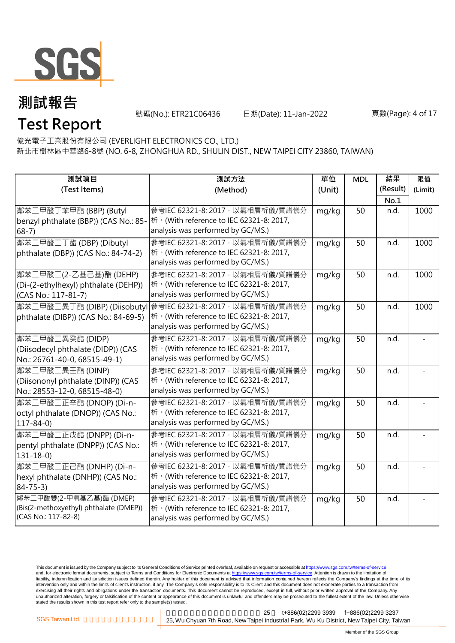

號碼(No.): ETR21C06436 日期(Date): 11-Jan-2022 頁數(Page): 4 of 17

億光電子工業股份有限公司 (EVERLIGHT ELECTRONICS CO., LTD.)

新北市樹林區中華路6-8號 (NO. 6-8, ZHONGHUA RD., SHULIN DIST., NEW TAIPEI CITY 23860, TAIWAN)

| 測試項目                                   | 測試方法                                      | 單位     | <b>MDL</b> | 結果       | 限值      |
|----------------------------------------|-------------------------------------------|--------|------------|----------|---------|
| (Test Items)                           | (Method)                                  | (Unit) |            | (Result) | (Limit) |
|                                        |                                           |        |            | No.1     |         |
| 鄰苯二甲酸丁苯甲酯 (BBP) (Butyl                 | 參考IEC 62321-8: 2017, 以氣相層析儀/質譜儀分          | mg/kg  | 50         | n.d.     | 1000    |
| benzyl phthalate (BBP)) (CAS No.: 85-  | 桥 · (With reference to IEC 62321-8: 2017, |        |            |          |         |
| $68-7)$                                | analysis was performed by GC/MS.)         |        |            |          |         |
| 鄰苯二甲酸二丁酯 (DBP) (Dibutyl                | 參考IEC 62321-8: 2017 · 以氣相層析儀/質譜儀分         | mg/kg  | 50         | n.d.     | 1000    |
| phthalate (DBP)) (CAS No.: 84-74-2)    | 桥 · (With reference to IEC 62321-8: 2017, |        |            |          |         |
|                                        | analysis was performed by GC/MS.)         |        |            |          |         |
| 鄰苯二甲酸二(2-乙基己基)酯 (DEHP)                 | 參考IEC 62321-8: 2017, 以氣相層析儀/質譜儀分          | mg/kg  | 50         | n.d.     | 1000    |
| (Di-(2-ethylhexyl) phthalate (DEHP))   | 桥 · (With reference to IEC 62321-8: 2017, |        |            |          |         |
| (CAS No.: 117-81-7)                    | analysis was performed by GC/MS.)         |        |            |          |         |
| 鄰苯二甲酸二異丁酯 (DIBP) (Diisobutyl           | 參考IEC 62321-8: 2017, 以氣相層析儀/質譜儀分          | mg/kg  | 50         | n.d.     | 1000    |
| phthalate (DIBP)) (CAS No.: 84-69-5)   | 桥 · (With reference to IEC 62321-8: 2017, |        |            |          |         |
|                                        | analysis was performed by GC/MS.)         |        |            |          |         |
| 鄰苯二甲酸二異癸酯 (DIDP)                       | 參考IEC 62321-8: 2017 · 以氣相層析儀/質譜儀分         | mg/kg  | 50         | n.d.     |         |
| (Diisodecyl phthalate (DIDP)) (CAS     | 析 · (With reference to IEC 62321-8: 2017, |        |            |          |         |
| No.: 26761-40-0, 68515-49-1)           | analysis was performed by GC/MS.)         |        |            |          |         |
| 鄰苯二甲酸二異壬酯 (DINP)                       | 參考IEC 62321-8: 2017 · 以氣相層析儀/質譜儀分         | mg/kg  | 50         | n.d.     |         |
| (Diisononyl phthalate (DINP)) (CAS     | 桥 · (With reference to IEC 62321-8: 2017, |        |            |          |         |
| No.: 28553-12-0, 68515-48-0)           | analysis was performed by GC/MS.)         |        |            |          |         |
| 鄰苯二甲酸二正辛酯 (DNOP) (Di-n-                | 參考IEC 62321-8: 2017, 以氣相層析儀/質譜儀分          | mg/kg  | 50         | n.d.     |         |
| octyl phthalate (DNOP)) (CAS No.:      | 析 · (With reference to IEC 62321-8: 2017, |        |            |          |         |
| $117 - 84 - 0$                         | analysis was performed by GC/MS.)         |        |            |          |         |
| 鄰苯二甲酸二正戊酯 (DNPP) (Di-n-                | 參考IEC 62321-8: 2017, 以氣相層析儀/質譜儀分          | mg/kg  | 50         | n.d.     |         |
| pentyl phthalate (DNPP)) (CAS No.:     | 桥 · (With reference to IEC 62321-8: 2017, |        |            |          |         |
| $131 - 18 - 0$                         | analysis was performed by GC/MS.)         |        |            |          |         |
| 鄰苯二甲酸二正己酯 (DNHP) (Di-n-                | 參考IEC 62321-8: 2017, 以氣相層析儀/質譜儀分          | mg/kg  | 50         | n.d.     |         |
| hexyl phthalate (DNHP)) (CAS No.:      | 析 · (With reference to IEC 62321-8: 2017, |        |            |          |         |
| $84 - 75 - 3$                          | analysis was performed by GC/MS.)         |        |            |          |         |
| 鄰苯二甲酸雙(2-甲氧基乙基)酯 (DMEP)                | 參考IEC 62321-8: 2017, 以氣相層析儀/質譜儀分          | mg/kg  | 50         | n.d.     |         |
| (Bis(2-methoxyethyl) phthalate (DMEP)) | 析 · (With reference to IEC 62321-8: 2017, |        |            |          |         |
| (CAS No.: 117-82-8)                    | analysis was performed by GC/MS.)         |        |            |          |         |

This document is issued by the Company subject to its General Conditions of Service printed overleaf, available on request or accessible at <u>https://www.sgs.com.tw/terms-of-service</u><br>and, for electronic format documents, su liability, indemnification and jurisdiction issues defined therein. Any holder of this document is advised that information contained hereon reflects the Company's findings at the time of its intervention only and within the limits of client's instruction, if any. The Company's sole responsibility is to its Client and this document does not exonerate parties to a transaction from exercising all their rights and obligations under the transaction documents. This document cannot be reproduced, except in full, without prior written approval of the Company. Any<br>unauthorized alteration, forgery or falsif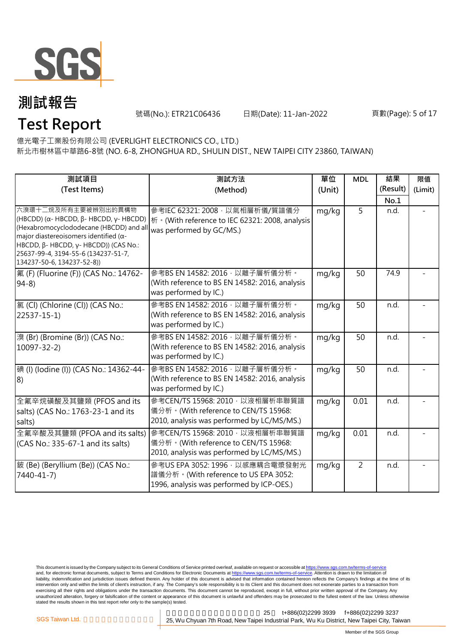

號碼(No.): ETR21C06436 日期(Date): 11-Jan-2022 頁數(Page): 5 of 17

億光電子工業股份有限公司 (EVERLIGHT ELECTRONICS CO., LTD.)

新北市樹林區中華路6-8號 (NO. 6-8, ZHONGHUA RD., SHULIN DIST., NEW TAIPEI CITY 23860, TAIWAN)

| 測試項目                                                                                                                                                                                                                                                                     | 測試方法                                                                                                                  | 單位    | <b>MDL</b>     | 結果       | 限值      |
|--------------------------------------------------------------------------------------------------------------------------------------------------------------------------------------------------------------------------------------------------------------------------|-----------------------------------------------------------------------------------------------------------------------|-------|----------------|----------|---------|
| (Test Items)                                                                                                                                                                                                                                                             | (Method)                                                                                                              |       |                | (Result) | (Limit) |
|                                                                                                                                                                                                                                                                          |                                                                                                                       |       |                | No.1     |         |
| 六溴環十二烷及所有主要被辨別出的異構物<br>(HBCDD) (α- HBCDD, β- HBCDD, γ- HBCDD)<br>(Hexabromocyclododecane (HBCDD) and all<br>major diastereoisomers identified ( $\alpha$ -<br>HBCDD, β- HBCDD, γ- HBCDD)) (CAS No.:<br>25637-99-4, 3194-55-6 (134237-51-7,<br>134237-50-6, 134237-52-8)) | 參考IEC 62321: 2008, 以氣相層析儀/質譜儀分<br>桥 · (With reference to IEC 62321: 2008, analysis<br>was performed by GC/MS.)        | mg/kg | 5              | n.d.     |         |
| 氟 (F) (Fluorine (F)) (CAS No.: 14762-<br>$94-8$                                                                                                                                                                                                                          | 參考BS EN 14582: 2016, 以離子層析儀分析。<br>(With reference to BS EN 14582: 2016, analysis<br>was performed by IC.)             | mg/kg | 50             | 74.9     |         |
| 氯(Cl) (Chlorine (Cl)) (CAS No.:<br>$22537 - 15 - 1$                                                                                                                                                                                                                      | 參考BS EN 14582: 2016, 以離子層析儀分析。<br>(With reference to BS EN 14582: 2016, analysis<br>was performed by IC.)             | mg/kg | 50             | n.d.     |         |
| 溴 (Br) (Bromine (Br)) (CAS No.:<br>$10097 - 32 - 2$                                                                                                                                                                                                                      | 參考BS EN 14582: 2016, 以離子層析儀分析。<br>(With reference to BS EN 14582: 2016, analysis<br>was performed by IC.)             | mg/kg | 50             | n.d.     |         |
| 碘 (I) (lodine (I)) (CAS No.: 14362-44-<br> 8)                                                                                                                                                                                                                            | 參考BS EN 14582: 2016, 以離子層析儀分析。<br>(With reference to BS EN 14582: 2016, analysis<br>was performed by IC.)             | mg/kg | 50             | n.d.     |         |
| 全氟辛烷磺酸及其鹽類 (PFOS and its<br>salts) (CAS No.: 1763-23-1 and its<br>salts)                                                                                                                                                                                                 | 參考CEN/TS 15968: 2010, 以液相層析串聯質譜<br>儀分析。(With reference to CEN/TS 15968:<br>2010, analysis was performed by LC/MS/MS.) | mg/kg | 0.01           | n.d.     |         |
| 全氟辛酸及其鹽類 (PFOA and its salts)<br>(CAS No.: 335-67-1 and its salts)                                                                                                                                                                                                       | 參考CEN/TS 15968: 2010, 以液相層析串聯質譜<br>儀分析。(With reference to CEN/TS 15968:<br>2010, analysis was performed by LC/MS/MS.) | mg/kg | 0.01           | n.d.     |         |
| 鈹 (Be) (Beryllium (Be)) (CAS No.:<br>7440-41-7)                                                                                                                                                                                                                          | 參考US EPA 3052: 1996, 以感應耦合電漿發射光<br>譜儀分析。(With reference to US EPA 3052:<br>1996, analysis was performed by ICP-OES.)  | mg/kg | $\overline{2}$ | n.d.     |         |

This document is issued by the Company subject to its General Conditions of Service printed overleaf, available on request or accessible at <u>https://www.sgs.com.tw/terms-of-service</u><br>and, for electronic format documents, su liability, indemnification and jurisdiction issues defined therein. Any holder of this document is advised that information contained hereon reflects the Company's findings at the time of its intervention only and within the limits of client's instruction, if any. The Company's sole responsibility is to its Client and this document does not exonerate parties to a transaction from exercising all their rights and obligations under the transaction documents. This document cannot be reproduced, except in full, without prior written approval of the Company. Any<br>unauthorized alteration, forgery or falsif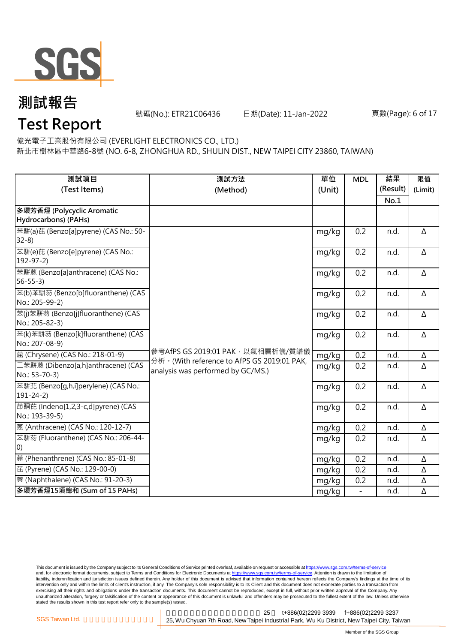

號碼(No.): ETR21C06436 日期(Date): 11-Jan-2022 頁數(Page): 6 of 17

億光電子工業股份有限公司 (EVERLIGHT ELECTRONICS CO., LTD.)

新北市樹林區中華路6-8號 (NO. 6-8, ZHONGHUA RD., SHULIN DIST., NEW TAIPEI CITY 23860, TAIWAN)

| 測試項目                                                          | 測試方法                                                                              | 單位     | <b>MDL</b>               | 結果               | 限值       |
|---------------------------------------------------------------|-----------------------------------------------------------------------------------|--------|--------------------------|------------------|----------|
| (Test Items)                                                  | (Method)                                                                          | (Unit) |                          | (Result)<br>No.1 | (Limit)  |
| 多環芳香烴 (Polycyclic Aromatic                                    |                                                                                   |        |                          |                  |          |
| Hydrocarbons) (PAHs)<br>苯駢(a)芘 (Benzo[a]pyrene) (CAS No.: 50- |                                                                                   | mg/kg  | 0.2                      | n.d.             | Δ        |
| $32-8$                                                        |                                                                                   |        |                          |                  |          |
| 苯駢(e)芘 (Benzo[e]pyrene) (CAS No.:<br>$192 - 97 - 2$           |                                                                                   | mg/kg  | 0.2                      | n.d.             | Δ        |
| 苯駢蒽 (Benzo[a]anthracene) (CAS No.:<br>$56 - 55 - 3$           |                                                                                   | mg/kg  | 0.2                      | n.d.             | Δ        |
| 苯(b)苯駢芴 (Benzo[b]fluoranthene) (CAS<br>No.: 205-99-2)         |                                                                                   | mg/kg  | 0.2                      | n.d.             | Δ        |
| 苯(j)苯駢芴 (Benzo[j]fluoranthene) (CAS<br>No.: 205-82-3)         |                                                                                   | mg/kg  | 0.2                      | n.d.             | Δ        |
| 苯(k)苯駢芴 (Benzo[k]fluoranthene) (CAS<br>No.: 207-08-9)         |                                                                                   | mg/kg  | 0.2                      | n.d.             | Δ        |
| 蔰 (Chrysene) (CAS No.: 218-01-9)                              | 參考AfPS GS 2019:01 PAK, 以氣相層析儀/質譜儀<br>分析 · (With reference to AfPS GS 2019:01 PAK, | mg/kg  | 0.2                      | n.d.             | Δ        |
| 二苯駢蒽 (Dibenzo[a,h]anthracene) (CAS<br>No.: 53-70-3)           | analysis was performed by GC/MS.)                                                 | mg/kg  | 0.2                      | n.d.             | Δ        |
| 苯駢苝 (Benzo[g,h,i]perylene) (CAS No.:<br>$191 - 24 - 2)$       |                                                                                   | mg/kg  | 0.2                      | n.d.             | $\Delta$ |
| 茚酮芘 (Indeno[1,2,3-c,d]pyrene) (CAS<br>No.: 193-39-5)          |                                                                                   | mg/kg  | 0.2                      | n.d.             | Δ        |
| 蒽 (Anthracene) (CAS No.: 120-12-7)                            |                                                                                   | mg/kg  | 0.2                      | n.d.             | Δ        |
| 苯駢芴 (Fluoranthene) (CAS No.: 206-44-<br>(0)                   |                                                                                   | mg/kg  | 0.2                      | n.d.             | Δ        |
| 菲 (Phenanthrene) (CAS No.: 85-01-8)                           |                                                                                   | mg/kg  | 0.2                      | n.d.             | $\Delta$ |
| 芘 (Pyrene) (CAS No.: 129-00-0)                                |                                                                                   | mg/kg  | 0.2                      | n.d.             | Δ        |
| 萘 (Naphthalene) (CAS No.: 91-20-3)                            |                                                                                   | mg/kg  | 0.2                      | n.d.             | Δ        |
| 多環芳香烴15項總和 (Sum of 15 PAHs)                                   |                                                                                   | mg/kg  | $\overline{\phantom{a}}$ | n.d.             | Δ        |

This document is issued by the Company subject to its General Conditions of Service printed overleaf, available on request or accessible at <u>https://www.sgs.com.tw/terms-of-service</u><br>and, for electronic format documents, su liability, indemnification and jurisdiction issues defined therein. Any holder of this document is advised that information contained hereon reflects the Company's findings at the time of its intervention only and within the limits of client's instruction, if any. The Company's sole responsibility is to its Client and this document does not exonerate parties to a transaction from exercising all their rights and obligations under the transaction documents. This document cannot be reproduced, except in full, without prior written approval of the Company. Any<br>unauthorized alteration, forgery or falsif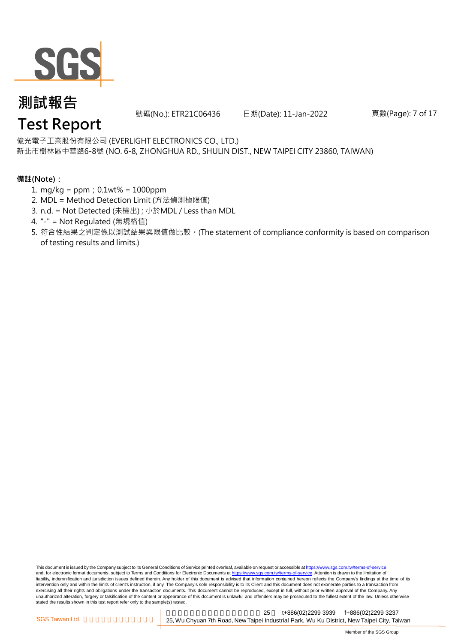

號碼(No.): ETR21C06436 日期(Date): 11-Jan-2022 頁數(Page): 7 of 17

### 億光電子工業股份有限公司 (EVERLIGHT ELECTRONICS CO., LTD.)

新北市樹林區中華路6-8號 (NO. 6-8, ZHONGHUA RD., SHULIN DIST., NEW TAIPEI CITY 23860, TAIWAN)

### **備註(Note):**

- 1. mg/kg = ppm;0.1wt% = 1000ppm
- 2. MDL = Method Detection Limit (方法偵測極限值)
- 3. n.d. = Not Detected (未檢出) ; 小於MDL / Less than MDL
- 4. "-" = Not Regulated (無規格值)
- 5. 符合性結果之判定係以測試結果與限值做比較。(The statement of compliance conformity is based on comparison of testing results and limits.)

This document is issued by the Company subject to its General Conditions of Service printed overleaf, available on request or accessible at https://www.sgs.com.tw/terms-of-service and, for electronic format documents, subject to Terms and Conditions for Electronic Documents at https://www.sgs.com.tw/terms-of-service. Attention is drawn to the limitation of liability, indemnification and jurisdiction issues defined therein. Any holder of this document is advised that information contained hereon reflects the Company's findings at the time of its intervention only and within the limits of client's instruction, if any. The Company's sole responsibility is to its Client and this document does not exonerate parties to a transaction from exercising all their rights and obligations under the transaction documents. This document cannot be reproduced, except in full, without prior written approval of the Company. Any<br>unauthorized alteration, forgery or falsif stated the results shown in this test report refer only to the sample(s) tested.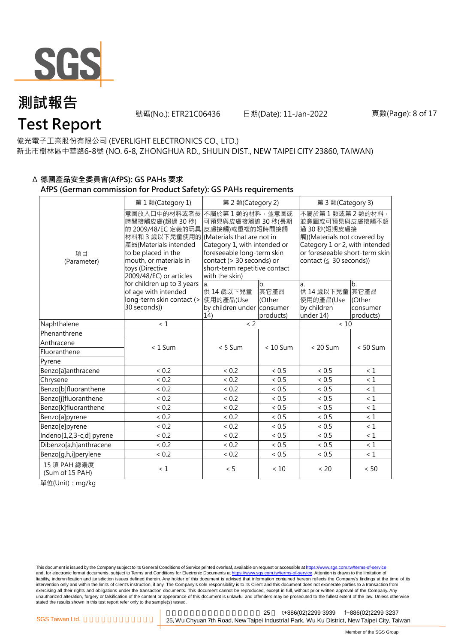

號碼(No.): ETR21C06436 日期(Date): 11-Jan-2022 頁數(Page): 8 of 17

億光電子工業股份有限公司 (EVERLIGHT ELECTRONICS CO., LTD.)

新北市樹林區中華路6-8號 (NO. 6-8, ZHONGHUA RD., SHULIN DIST., NEW TAIPEI CITY 23860, TAIWAN)

#### Δ **德國產品安全委員會(AfPS): GS PAHs 要求 AfPS (German commission for Product Safety): GS PAHs requirements**

|                                 | 第1類(Category 1)                                                                                                                                                                                                           |                                                                                                                                                                                                     | 第 2 類(Category 2)                 |                                                                                                                                                                                      | 第3類(Category 3)                                |  |  |
|---------------------------------|---------------------------------------------------------------------------------------------------------------------------------------------------------------------------------------------------------------------------|-----------------------------------------------------------------------------------------------------------------------------------------------------------------------------------------------------|-----------------------------------|--------------------------------------------------------------------------------------------------------------------------------------------------------------------------------------|------------------------------------------------|--|--|
| 項目<br>(Parameter)               | 意圖放入口中的材料或者長<br>時間接觸皮膚(超過 30秒)<br>的 2009/48/EC 定義的玩具<br>材料和 3 歲以下兒童使用的 (Materials that are not in<br>產品(Materials intended<br>to be placed in the<br>mouth, or materials in<br>toys (Directive<br>2009/48/EC) or articles | 不屬於第1類的材料,並意圖或<br>可預見與皮膚接觸逾 30 秒(長期<br>皮膚接觸)或重複的短時間接觸<br>Category 1, with intended or<br>foreseeable long-term skin<br>contact (> 30 seconds) or<br>short-term repetitive contact<br>with the skin) |                                   | 不屬於第1類或第2類的材料,<br>並意圖或可預見與皮膚接觸不超<br>過 30 秒(短期皮膚接<br>觸)(Materials not covered by<br>Category 1 or 2, with intended<br>or foreseeable short-term skin<br>contact ( $\leq$ 30 seconds)) |                                                |  |  |
|                                 | for children up to 3 years<br>of age with intended<br>long-term skin contact (><br>30 seconds))                                                                                                                           | la.<br>供 14 歳以下兒童<br>使用的產品(Use<br>by children under consumer<br>14)                                                                                                                                 | b.<br>其它產品<br>(Other<br>products) | a.<br>供 14 歲以下兒童<br>使用的產品(Use<br>by children<br>under 14)                                                                                                                            | lb.<br>其它產品<br>(Other<br>consumer<br>products) |  |  |
| Naphthalene                     | $\leq 1$                                                                                                                                                                                                                  | < 2                                                                                                                                                                                                 |                                   | $<10$                                                                                                                                                                                |                                                |  |  |
| Phenanthrene                    |                                                                                                                                                                                                                           |                                                                                                                                                                                                     |                                   |                                                                                                                                                                                      |                                                |  |  |
| Anthracene                      | $< 1$ Sum                                                                                                                                                                                                                 | $< 5$ Sum                                                                                                                                                                                           | $< 10$ Sum                        | $< 20$ Sum                                                                                                                                                                           | $< 50$ Sum                                     |  |  |
| Fluoranthene                    |                                                                                                                                                                                                                           |                                                                                                                                                                                                     |                                   |                                                                                                                                                                                      |                                                |  |  |
| Pyrene                          |                                                                                                                                                                                                                           |                                                                                                                                                                                                     |                                   |                                                                                                                                                                                      |                                                |  |  |
| Benzo[a]anthracene              | < 0.2                                                                                                                                                                                                                     | < 0.2                                                                                                                                                                                               | < 0.5                             | < 0.5                                                                                                                                                                                | < 1                                            |  |  |
| Chrysene                        | < 0.2                                                                                                                                                                                                                     | < 0.2                                                                                                                                                                                               | < 0.5                             | < 0.5                                                                                                                                                                                | $\leq 1$                                       |  |  |
| Benzo[b]fluoranthene            | < 0.2                                                                                                                                                                                                                     | < 0.2                                                                                                                                                                                               | < 0.5                             | < 0.5                                                                                                                                                                                | < 1                                            |  |  |
| Benzo[j]fluoranthene            | < 0.2                                                                                                                                                                                                                     | < 0.2                                                                                                                                                                                               | < 0.5                             | ${}< 0.5$                                                                                                                                                                            | < 1                                            |  |  |
| Benzo[k]fluoranthene            | < 0.2                                                                                                                                                                                                                     | < 0.2                                                                                                                                                                                               | < 0.5                             | < 0.5                                                                                                                                                                                | < 1                                            |  |  |
| Benzo[a]pyrene                  | < 0.2                                                                                                                                                                                                                     | < 0.2                                                                                                                                                                                               | < 0.5                             | < 0.5                                                                                                                                                                                | < 1                                            |  |  |
| Benzo[e]pyrene                  | < 0.2                                                                                                                                                                                                                     | < 0.2                                                                                                                                                                                               | < 0.5                             | < 0.5                                                                                                                                                                                | < 1                                            |  |  |
| Indeno[1,2,3-c,d] pyrene        | < 0.2                                                                                                                                                                                                                     | < 0.2                                                                                                                                                                                               | < 0.5                             | < 0.5                                                                                                                                                                                | $\leq 1$                                       |  |  |
| Dibenzo[a,h]anthracene          | < 0.2                                                                                                                                                                                                                     | < 0.2                                                                                                                                                                                               | < 0.5                             | < 0.5                                                                                                                                                                                | $\leq 1$                                       |  |  |
| Benzo[g,h,i]perylene            | < 0.2                                                                                                                                                                                                                     | < 0.2                                                                                                                                                                                               | < 0.5                             | < 0.5                                                                                                                                                                                | $\leq 1$                                       |  |  |
| 15 項 PAH 總濃度<br>(Sum of 15 PAH) | < 1                                                                                                                                                                                                                       | < 5                                                                                                                                                                                                 | < 10                              | < 20                                                                                                                                                                                 | < 50                                           |  |  |

單位(Unit):mg/kg

This document is issued by the Company subject to its General Conditions of Service printed overleaf, available on request or accessible at <u>https://www.sgs.com.tw/terms-of-service</u><br>and, for electronic format documents, su liability, indemnification and jurisdiction issues defined therein. Any holder of this document is advised that information contained hereon reflects the Company's findings at the time of its intervention only and within the limits of client's instruction, if any. The Company's sole responsibility is to its Client and this document does not exonerate parties to a transaction from exercising all their rights and obligations under the transaction documents. This document cannot be reproduced, except in full, without prior written approval of the Company. Any<br>unauthorized alteration, forgery or falsif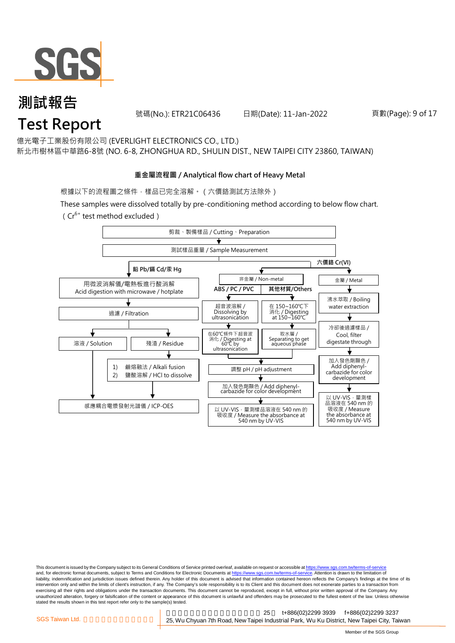

號碼(No.): ETR21C06436 日期(Date): 11-Jan-2022 頁數(Page): 9 of 17

億光電子工業股份有限公司 (EVERLIGHT ELECTRONICS CO., LTD.)

新北市樹林區中華路6-8號 (NO. 6-8, ZHONGHUA RD., SHULIN DIST., NEW TAIPEI CITY 23860, TAIWAN)

#### **重金屬流程圖 / Analytical flow chart of Heavy Metal**

根據以下的流程圖之條件,樣品已完全溶解。 (六價鉻測試方法除外)

These samples were dissolved totally by pre-conditioning method according to below flow chart.

( $Cr^{6+}$  test method excluded)



This document is issued by the Company subject to its General Conditions of Service printed overleaf, available on request or accessible at https://www.sgs.com.tw/terms-of-service and, for electronic format documents, subject to Terms and Conditions for Electronic Documents at https://www.sgs.com.tw/terms-of-service. Attention is drawn to the limitation of liability, indemnification and jurisdiction issues defined therein. Any holder of this document is advised that information contained hereon reflects the Company's findings at the time of its intervention only and within the limits of client's instruction, if any. The Company's sole responsibility is to its Client and this document does not exonerate parties to a transaction from exercising all their rights and obligations under the transaction documents. This document cannot be reproduced, except in full, without prior written approval of the Company. Any<br>unauthorized alteration, forgery or falsif stated the results shown in this test report refer only to the sample(s) tested.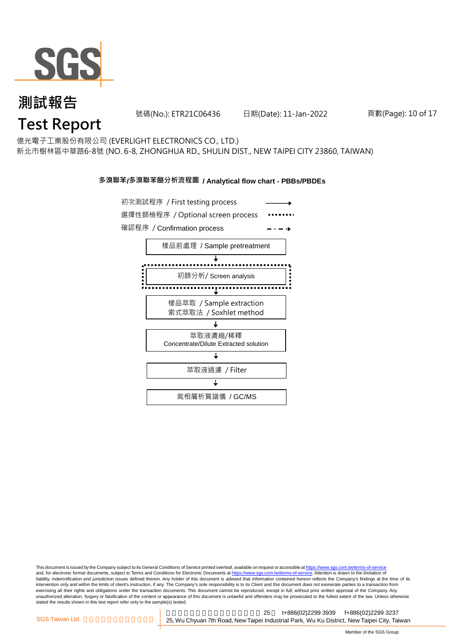

號碼(No.): ETR21C06436 日期(Date): 11-Jan-2022 頁數(Page): 10 of 17

億光電子工業股份有限公司 (EVERLIGHT ELECTRONICS CO., LTD.)

新北市樹林區中華路6-8號 (NO. 6-8, ZHONGHUA RD., SHULIN DIST., NEW TAIPEI CITY 23860, TAIWAN)

#### **多溴聯苯/多溴聯苯醚分析流程圖 / Analytical flow chart - PBBs/PBDEs**



This document is issued by the Company subject to its General Conditions of Service printed overleaf, available on request or accessible at https://www.sgs.com.tw/terms-of-service and, for electronic format documents, subject to Terms and Conditions for Electronic Documents at https://www.sgs.com.tw/terms-of-service. Attention is drawn to the limitation of liability, indemnification and jurisdiction issues defined therein. Any holder of this document is advised that information contained hereon reflects the Company's findings at the time of its intervention only and within the limits of client's instruction, if any. The Company's sole responsibility is to its Client and this document does not exonerate parties to a transaction from exercising all their rights and obligations under the transaction documents. This document cannot be reproduced, except in full, without prior written approval of the Company. Any<br>unauthorized alteration, forgery or falsif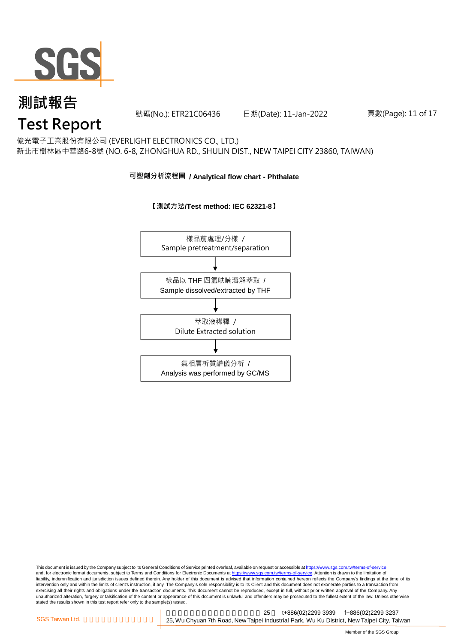

號碼(No.): ETR21C06436 日期(Date): 11-Jan-2022 頁數(Page): 11 of 17

### 億光電子工業股份有限公司 (EVERLIGHT ELECTRONICS CO., LTD.)

新北市樹林區中華路6-8號 (NO. 6-8, ZHONGHUA RD., SHULIN DIST., NEW TAIPEI CITY 23860, TAIWAN)

#### **可塑劑分析流程圖 / Analytical flow chart - Phthalate**



#### **【測試方法/Test method: IEC 62321-8】**

This document is issued by the Company subject to its General Conditions of Service printed overleaf, available on request or accessible at <u>https://www.sgs.com.tw/terms-of-service</u><br>and, for electronic format documents, su liability, indemnification and jurisdiction issues defined therein. Any holder of this document is advised that information contained hereon reflects the Company's findings at the time of its intervention only and within the limits of client's instruction, if any. The Company's sole responsibility is to its Client and this document does not exonerate parties to a transaction from exercising all their rights and obligations under the transaction documents. This document cannot be reproduced, except in full, without prior written approval of the Company. Any<br>unauthorized alteration, forgery or falsif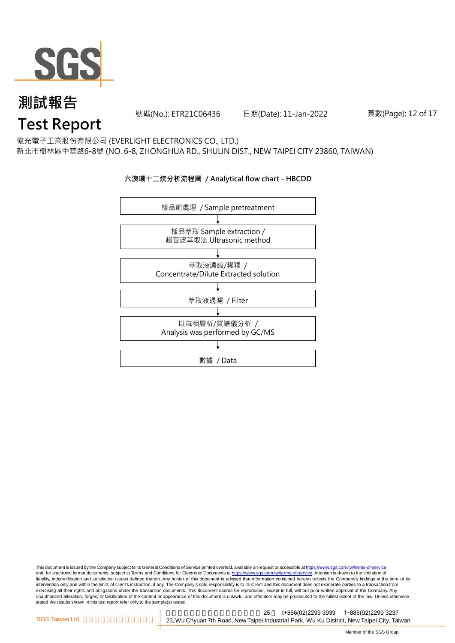

號碼(No.): ETR21C06436 日期(Date): 11-Jan-2022 頁數(Page): 12 of 17

### 億光電子工業股份有限公司 (EVERLIGHT ELECTRONICS CO., LTD.)

新北市樹林區中華路6-8號 (NO. 6-8, ZHONGHUA RD., SHULIN DIST., NEW TAIPEI CITY 23860, TAIWAN)

#### **六溴環十二烷分析流程圖 / Analytical flow chart - HBCDD**



This document is issued by the Company subject to its General Conditions of Service printed overleaf, available on request or accessible at <u>https://www.sgs.com.tw/terms-of-service</u><br>and, for electronic format documents, su liability, indemnification and jurisdiction issues defined therein. Any holder of this document is advised that information contained hereon reflects the Company's findings at the time of its intervention only and within the limits of client's instruction, if any. The Company's sole responsibility is to its Client and this document does not exonerate parties to a transaction from exercising all their rights and obligations under the transaction documents. This document cannot be reproduced, except in full, without prior written approval of the Company. Any<br>unauthorized alteration, forgery or falsif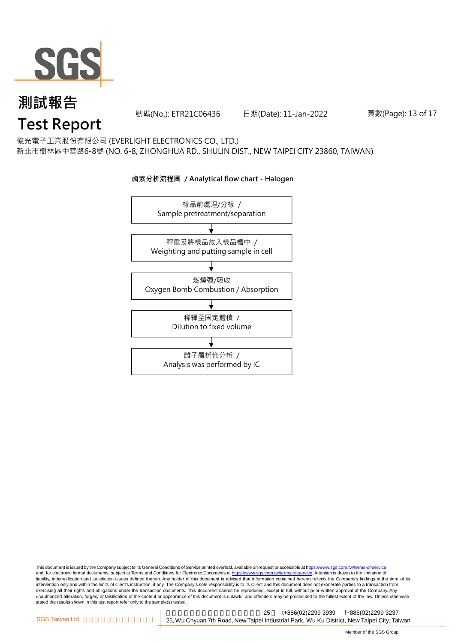

號碼(No.): ETR21C06436 日期(Date): 11-Jan-2022 頁數(Page): 13 of 17

億光電子工業股份有限公司 (EVERLIGHT ELECTRONICS CO., LTD.)

新北市樹林區中華路6-8號 (NO. 6-8, ZHONGHUA RD., SHULIN DIST., NEW TAIPEI CITY 23860, TAIWAN)



#### **鹵素分析流程圖 / Analytical flow chart - Halogen**

This document is issued by the Company subject to its General Conditions of Service printed overleaf, available on request or accessible at <u>https://www.sgs.com.tw/terms-of-service</u><br>and, for electronic format documents, su liability, indemnification and jurisdiction issues defined therein. Any holder of this document is advised that information contained hereon reflects the Company's findings at the time of its intervention only and within the limits of client's instruction, if any. The Company's sole responsibility is to its Client and this document does not exonerate parties to a transaction from exercising all their rights and obligations under the transaction documents. This document cannot be reproduced, except in full, without prior written approval of the Company. Any<br>unauthorized alteration, forgery or falsif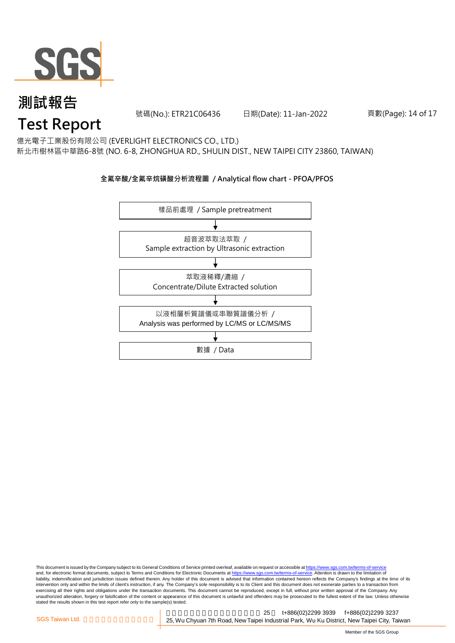

號碼(No.): ETR21C06436 日期(Date): 11-Jan-2022 頁數(Page): 14 of 17

億光電子工業股份有限公司 (EVERLIGHT ELECTRONICS CO., LTD.)

新北市樹林區中華路6-8號 (NO. 6-8, ZHONGHUA RD., SHULIN DIST., NEW TAIPEI CITY 23860, TAIWAN)

#### **全氟辛酸/全氟辛烷磺酸分析流程圖 / Analytical flow chart - PFOA/PFOS**



This document is issued by the Company subject to its General Conditions of Service printed overleaf, available on request or accessible at <u>https://www.sgs.com.tw/terms-of-service</u><br>and, for electronic format documents, su liability, indemnification and jurisdiction issues defined therein. Any holder of this document is advised that information contained hereon reflects the Company's findings at the time of its intervention only and within the limits of client's instruction, if any. The Company's sole responsibility is to its Client and this document does not exonerate parties to a transaction from exercising all their rights and obligations under the transaction documents. This document cannot be reproduced, except in full, without prior written approval of the Company. Any<br>unauthorized alteration, forgery or falsif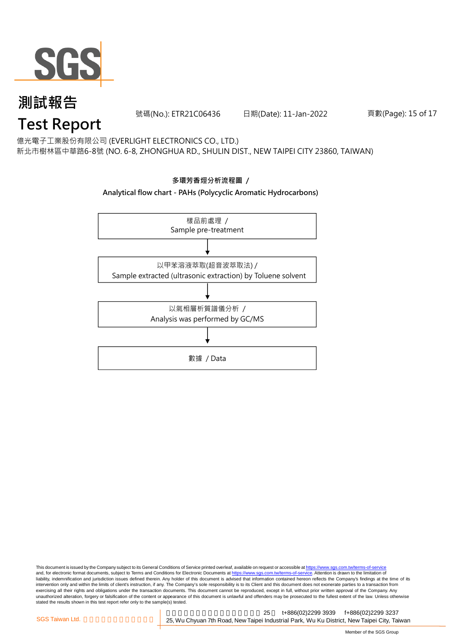

號碼(No.): ETR21C06436 日期(Date): 11-Jan-2022 頁數(Page): 15 of 17

億光電子工業股份有限公司 (EVERLIGHT ELECTRONICS CO., LTD.)

新北市樹林區中華路6-8號 (NO. 6-8, ZHONGHUA RD., SHULIN DIST., NEW TAIPEI CITY 23860, TAIWAN)

### **多環芳香烴分析流程圖 /**

#### **Analytical flow chart - PAHs (Polycyclic Aromatic Hydrocarbons)**



This document is issued by the Company subject to its General Conditions of Service printed overleaf, available on request or accessible at <u>https://www.sgs.com.tw/terms-of-service</u><br>and, for electronic format documents, su liability, indemnification and jurisdiction issues defined therein. Any holder of this document is advised that information contained hereon reflects the Company's findings at the time of its intervention only and within the limits of client's instruction, if any. The Company's sole responsibility is to its Client and this document does not exonerate parties to a transaction from exercising all their rights and obligations under the transaction documents. This document cannot be reproduced, except in full, without prior written approval of the Company. Any<br>unauthorized alteration, forgery or falsif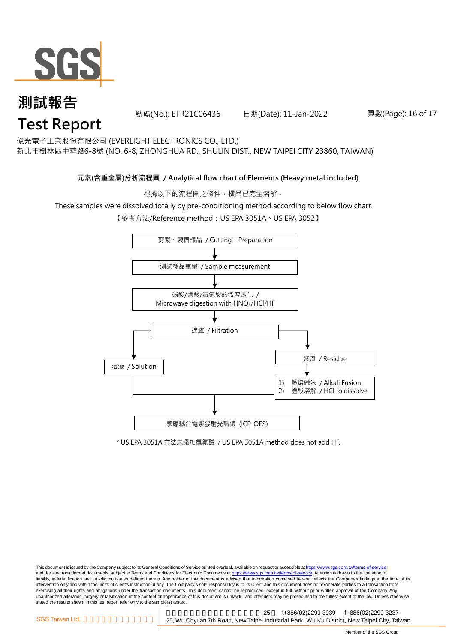

號碼(No.): ETR21C06436 日期(Date): 11-Jan-2022 頁數(Page): 16 of 17

億光電子工業股份有限公司 (EVERLIGHT ELECTRONICS CO., LTD.)

新北市樹林區中華路6-8號 (NO. 6-8, ZHONGHUA RD., SHULIN DIST., NEW TAIPEI CITY 23860, TAIWAN)

#### **元素(含重金屬)分析流程圖 / Analytical flow chart of Elements (Heavy metal included)**

根據以下的流程圖之條件,樣品已完全溶解。

These samples were dissolved totally by pre-conditioning method according to below flow chart.

【參考方法/Reference method:US EPA 3051A、US EPA 3052】



\* US EPA 3051A 方法未添加氫氟酸 / US EPA 3051A method does not add HF.

This document is issued by the Company subject to its General Conditions of Service printed overleaf, available on request or accessible at https://www.sgs.com.tw/terms-of-service and, for electronic format documents, subject to Terms and Conditions for Electronic Documents at https://www.sgs.com.tw/terms-of-service. Attention is drawn to the limitation of liability, indemnification and jurisdiction issues defined therein. Any holder of this document is advised that information contained hereon reflects the Company's findings at the time of its intervention only and within the limits of client's instruction, if any. The Company's sole responsibility is to its Client and this document does not exonerate parties to a transaction from exercising all their rights and obligations under the transaction documents. This document cannot be reproduced, except in full, without prior written approval of the Company. Any<br>unauthorized alteration, forgery or falsif stated the results shown in this test report refer only to the sample(s) tested.